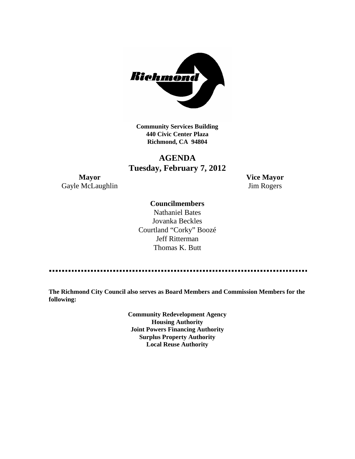

**Community Services Building 440 Civic Center Plaza Richmond, CA 94804**

# **AGENDA Tuesday, February 7, 2012**

**Mayor Vice Mayor** Gayle McLaughlin Jim Rogers

### **Councilmembers**

Nathaniel Bates Jovanka Beckles Courtland "Corky" Boozé Jeff Ritterman Thomas K. Butt

**The Richmond City Council also serves as Board Members and Commission Members for the following:**

> **Community Redevelopment Agency Housing Authority Joint Powers Financing Authority Surplus Property Authority Local Reuse Authority**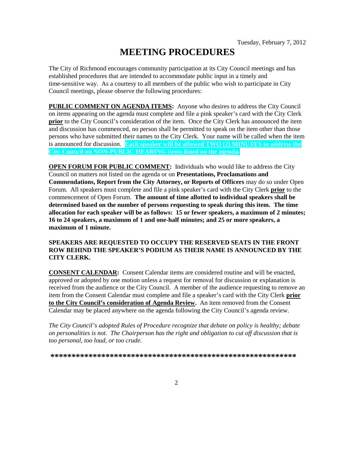# **MEETING PROCEDURES**

The City of Richmond encourages community participation at its City Council meetings and has established procedures that are intended to accommodate public input in a timely and time-sensitive way. As a courtesy to all members of the public who wish to participate in City Council meetings, please observe the following procedures:

**PUBLIC COMMENT ON AGENDA ITEMS:** Anyone who desires to address the City Council on items appearing on the agenda must complete and file a pink speaker's card with the City Clerk **prior** to the City Council's consideration of the item. Once the City Clerk has announced the item and discussion has commenced, no person shall be permitted to speak on the item other than those persons who have submitted their names to the City Clerk. Your name will be called when the item is announced for discussion. **Each speaker will be allowed TWO (2) MINUTES to address the City Council on NON-PUBLIC HEARING items listed on the agenda.**

**OPEN FORUM FOR PUBLIC COMMENT:** Individuals who would like to address the City Council on matters not listed on the agenda or on **Presentations, Proclamations and Commendations, Report from the City Attorney, or Reports of Officers** may do so under Open Forum. All speakers must complete and file a pink speaker's card with the City Clerk **prior** to the commencement of Open Forum. **The amount of time allotted to individual speakers shall be determined based on the number of persons requesting to speak during this item. The time allocation for each speaker will be as follows: 15 or fewer speakers, a maximum of 2 minutes; 16 to 24 speakers, a maximum of 1 and one-half minutes; and 25 or more speakers, a maximum of 1 minute.**

#### **SPEAKERS ARE REQUESTED TO OCCUPY THE RESERVED SEATS IN THE FRONT ROW BEHIND THE SPEAKER'S PODIUM AS THEIR NAME IS ANNOUNCED BY THE CITY CLERK.**

**CONSENT CALENDAR:** Consent Calendar items are considered routine and will be enacted, approved or adopted by one motion unless a request for removal for discussion or explanation is received from the audience or the City Council. A member of the audience requesting to remove an item from the Consent Calendar must complete and file a speaker's card with the City Clerk **prior to the City Council's consideration of Agenda Review.** An item removed from the Consent Calendar may be placed anywhere on the agenda following the City Council's agenda review.

*The City Council's adopted Rules of Procedure recognize that debate on policy is healthy; debate on personalities is not. The Chairperson has the right and obligation to cut off discussion that is too personal, too loud, or too crude.*

**\*\*\*\*\*\*\*\*\*\*\*\*\*\*\*\*\*\*\*\*\*\*\*\*\*\*\*\*\*\*\*\*\*\*\*\*\*\*\*\*\*\*\*\*\*\*\*\*\*\*\*\*\*\*\*\*\*\***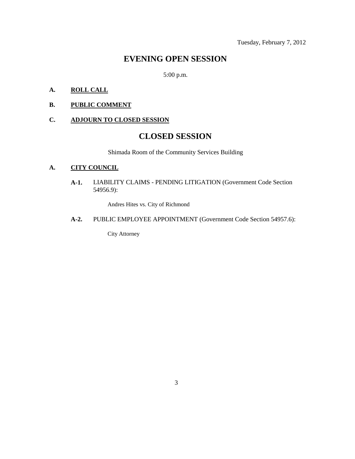Tuesday, February 7, 2012

# **EVENING OPEN SESSION**

5:00 p.m.

## **A. ROLL CALL**

**B. PUBLIC COMMENT**

### **C. ADJOURN TO CLOSED SESSION**

# **CLOSED SESSION**

Shimada Room of the Community Services Building

#### **A. CITY COUNCIL**

**A-1.** LIABILITY CLAIMS - PENDING LITIGATION (Government Code Section 54956.9):

Andres Hites vs. City of Richmond

**A-2.** PUBLIC EMPLOYEE APPOINTMENT (Government Code Section 54957.6):

City Attorney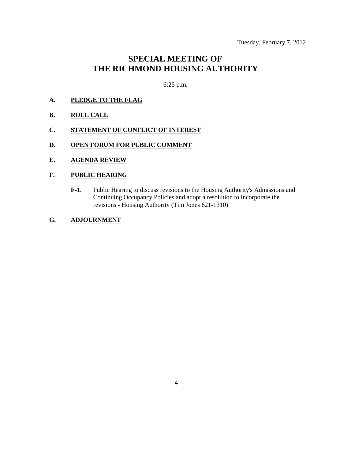# **SPECIAL MEETING OF THE RICHMOND HOUSING AUTHORITY**

6:25 p.m.

- **A. PLEDGE TO THE FLAG**
- **B. ROLL CALL**
- **C. STATEMENT OF CONFLICT OF INTEREST**
- **D. OPEN FORUM FOR PUBLIC COMMENT**
- **E. AGENDA REVIEW**

#### **F. PUBLIC HEARING**

- **F-1.** Public Hearing to discuss revisions to the Housing Authority's Admissions and Continuing Occupancy Policies and adopt a resolution to incorporate the revisions - Housing Authority (Tim Jones 621-1310).
- **G. ADJOURNMENT**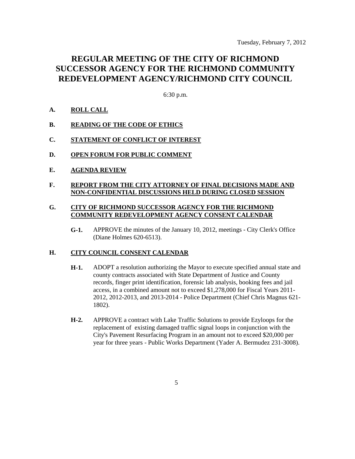# **REGULAR MEETING OF THE CITY OF RICHMOND SUCCESSOR AGENCY FOR THE RICHMOND COMMUNITY REDEVELOPMENT AGENCY/RICHMOND CITY COUNCIL**

6:30 p.m.

### **A. ROLL CALL**

- **B. READING OF THE CODE OF ETHICS**
- **C. STATEMENT OF CONFLICT OF INTEREST**
- **D. OPEN FORUM FOR PUBLIC COMMENT**
- **E. AGENDA REVIEW**
- **F. REPORT FROM THE CITY ATTORNEY OF FINAL DECISIONS MADE AND NON-CONFIDENTIAL DISCUSSIONS HELD DURING CLOSED SESSION**

#### **G. CITY OF RICHMOND SUCCESSOR AGENCY FOR THE RICHMOND COMMUNITY REDEVELOPMENT AGENCY CONSENT CALENDAR**

**G-1.** APPROVE the minutes of the January 10, 2012, meetings - City Clerk's Office (Diane Holmes 620-6513).

#### **H. CITY COUNCIL CONSENT CALENDAR**

- **H-1.** ADOPT a resolution authorizing the Mayor to execute specified annual state and county contracts associated with State Department of Justice and County records, finger print identification, forensic lab analysis, booking fees and jail access, in a combined amount not to exceed \$1,278,000 for Fiscal Years 2011- 2012, 2012-2013, and 2013-2014 - Police Department (Chief Chris Magnus 621- 1802).
- **H-2.** APPROVE a contract with Lake Traffic Solutions to provide Ezyloops for the replacement of existing damaged traffic signal loops in conjunction with the City's Pavement Resurfacing Program in an amount not to exceed \$20,000 per year for three years - Public Works Department (Yader A. Bermudez 231-3008).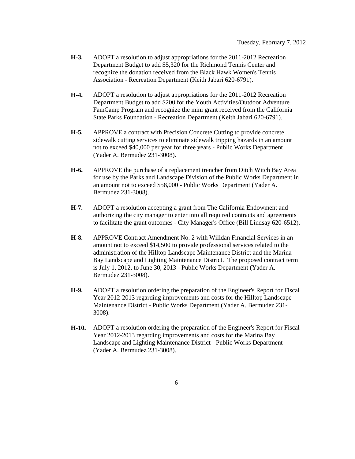- **H-3.** ADOPT a resolution to adjust appropriations for the 2011-2012 Recreation Department Budget to add \$5,320 for the Richmond Tennis Center and recognize the donation received from the Black Hawk Women's Tennis Association - Recreation Department (Keith Jabari 620-6791).
- **H-4.** ADOPT a resolution to adjust appropriations for the 2011-2012 Recreation Department Budget to add \$200 for the Youth Activities/Outdoor Adventure FamCamp Program and recognize the mini grant received from the California State Parks Foundation - Recreation Department (Keith Jabari 620-6791).
- **H-5.** APPROVE a contract with Precision Concrete Cutting to provide concrete sidewalk cutting services to eliminate sidewalk tripping hazards in an amount not to exceed \$40,000 per year for three years - Public Works Department (Yader A. Bermudez 231-3008).
- **H-6.** APPROVE the purchase of a replacement trencher from Ditch Witch Bay Area for use by the Parks and Landscape Division of the Public Works Department in an amount not to exceed \$58,000 - Public Works Department (Yader A. Bermudez 231-3008).
- **H-7.** ADOPT a resolution accepting a grant from The California Endowment and authorizing the city manager to enter into all required contracts and agreements to facilitate the grant outcomes - City Manager's Office (Bill Lindsay 620-6512).
- **H-8.** APPROVE Contract Amendment No. 2 with Willdan Financial Services in an amount not to exceed \$14,500 to provide professional services related to the administration of the Hilltop Landscape Maintenance District and the Marina Bay Landscape and Lighting Maintenance District. The proposed contract term is July 1, 2012, to June 30, 2013 - Public Works Department (Yader A. Bermudez 231-3008).
- **H-9.** ADOPT a resolution ordering the preparation of the Engineer's Report for Fiscal Year 2012-2013 regarding improvements and costs for the Hilltop Landscape Maintenance District - Public Works Department (Yader A. Bermudez 231- 3008).
- **H-10.** ADOPT a resolution ordering the preparation of the Engineer's Report for Fiscal Year 2012-2013 regarding improvements and costs for the Marina Bay Landscape and Lighting Maintenance District - Public Works Department (Yader A. Bermudez 231-3008).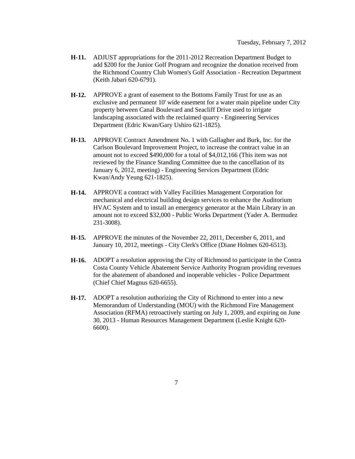- **H-11.** ADJUST appropriations for the 2011-2012 Recreation Department Budget to add \$200 for the Junior Golf Program and recognize the donation received from the Richmond Country Club Women's Golf Association - Recreation Department (Keith Jabari 620-6791).
- **H-12.** APPROVE a grant of easement to the Bottoms Family Trust for use as an exclusive and permanent 10' wide easement for a water main pipeline under City property between Canal Boulevard and Seacliff Drive used to irrigate landscaping associated with the reclaimed quarry - Engineering Services Department (Edric Kwan/Gary Ushiro 621-1825).
- **H-13.** APPROVE Contract Amendment No. 1 with Gallagher and Burk, Inc. for the Carlson Boulevard Improvement Project, to increase the contract value in an amount not to exceed \$490,000 for a total of \$4,012,166 (This item was not reviewed by the Finance Standing Committee due to the cancellation of its January 6, 2012, meeting) - Engineering Services Department (Edric Kwan/Andy Yeung 621-1825).
- **H-14.** APPROVE a contract with Valley Facilities Management Corporation for mechanical and electrical building design services to enhance the Auditorium HVAC System and to install an emergency generator at the Main Library in an amount not to exceed \$32,000 - Public Works Department (Yader A. Bermudez 231-3008).
- **H-15.** APPROVE the minutes of the November 22, 2011, December 6, 2011, and January 10, 2012, meetings - City Clerk's Office (Diane Holmes 620-6513).
- **H-16.** ADOPT a resolution approving the City of Richmond to participate in the Contra Costa County Vehicle Abatement Service Authority Program providing revenues for the abatement of abandoned and inoperable vehicles - Police Department (Chief Chief Magnus 620-6655).
- **H-17.** ADOPT a resolution authorizing the City of Richmond to enter into a new Memorandum of Understanding (MOU) with the Richmond Fire Management Association (RFMA) retroactively starting on July 1, 2009, and expiring on June 30, 2013 - Human Resources Management Department (Leslie Knight 620- 6600).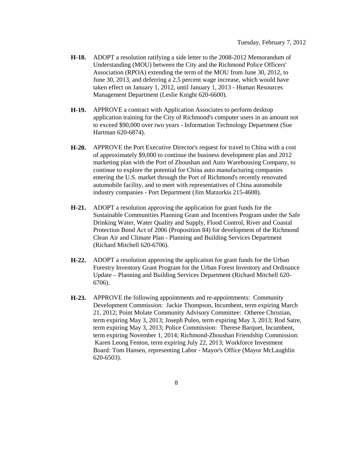- **H-18.** ADOPT a resolution ratifying a side letter to the 2008-2012 Memorandum of Understanding (MOU) between the City and the Richmond Police Officers' Association (RPOA) extending the term of the MOU from June 30, 2012, to June 30, 2013, and deferring a 2.5 percent wage increase, which would have taken effect on January 1, 2012, until January 1, 2013 - Human Resources Management Department (Leslie Knight 620-6600).
- **H-19.** APPROVE a contract with Application Associates to perform desktop application training for the City of Richmond's computer users in an amount not to exceed \$90,000 over two years - Information Technology Department (Sue Hartman 620-6874).
- **H-20.** APPROVE the Port Executive Director's request for travel to China with a cost of approximately \$9,000 to continue the business development plan and 2012 marketing plan with the Port of Zhoushan and Auto Warehousing Company, to continue to explore the potential for China auto manufacturing companies entering the U.S. market through the Port of Richmond's recently renovated automobile facility, and to meet with representatives of China automobile industry companies - Port Department (Jim Matzorkis 215-4608).
- **H-21.** ADOPT a resolution approving the application for grant funds for the Sustainable Communities Planning Grant and Incentives Program under the Safe Drinking Water, Water Quality and Supply, Flood Control, River and Coastal Protection Bond Act of 2006 (Proposition 84) for development of the Richmond Clean Air and Climate Plan - Planning and Building Services Department (Richard Mitchell 620-6706).
- **H-22.** ADOPT a resolution approving the application for grant funds for the Urban Forestry Inventory Grant Program for the Urban Forest Inventory and Ordinance Update – Planning and Building Services Department (Richard Mitchell 620- 6706).
- **H-23.** APPROVE the following appointments and re-appointments: Community Development Commission: Jackie Thompson, Incumbent, term expiring March 21, 2012; Point Molate Community Advisory Committee: Otheree Christian, term expiring May 3, 2013; Joseph Puleo, term expiring May 3, 2013; Rod Satre, term expiring May 3, 2013; Police Commission: Therese Barquet, Incumbent, term expiring November 1, 2014; Richmond-Zhoushan Friendship Commission: Karen Leong Fenton, term expiring July 22, 2013; Workforce Investment Board: Tom Hansen, representing Labor - Mayor's Office (Mayor McLaughlin 620-6503).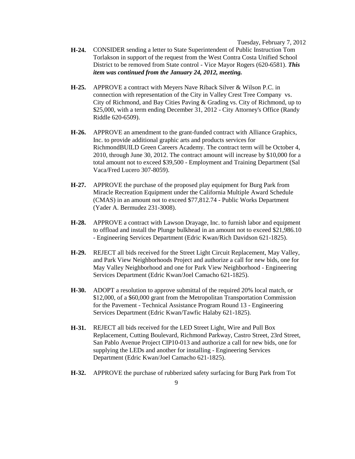Tuesday, February 7, 2012

- **H-24.** CONSIDER sending a letter to State Superintendent of Public Instruction Tom Torlakson in support of the request from the West Contra Costa Unified School District to be removed from State control - Vice Mayor Rogers (620-6581). *This item was continued from the January 24, 2012, meeting.*
- **H-25.** APPROVE a contract with Meyers Nave Riback Silver & Wilson P.C. in connection with representation of the City in Valley Crest Tree Company vs. City of Richmond, and Bay Cities Paving & Grading vs. City of Richmond, up to \$25,000, with a term ending December 31, 2012 - City Attorney's Office (Randy Riddle 620-6509).
- **H-26.** APPROVE an amendment to the grant-funded contract with Alliance Graphics, Inc. to provide additional graphic arts and products services for RichmondBUILD Green Careers Academy. The contract term will be October 4, 2010, through June 30, 2012. The contract amount will increase by \$10,000 for a total amount not to exceed \$39,500 - Employment and Training Department (Sal Vaca/Fred Lucero 307-8059).
- **H-27.** APPROVE the purchase of the proposed play equipment for Burg Park from Miracle Recreation Equipment under the California Multiple Award Schedule (CMAS) in an amount not to exceed \$77,812.74 - Public Works Department (Yader A. Bermudez 231-3008).
- **H-28.** APPROVE a contract with Lawson Drayage, Inc. to furnish labor and equipment to offload and install the Plunge bulkhead in an amount not to exceed \$21,986.10 - Engineering Services Department (Edric Kwan/Rich Davidson 621-1825).
- **H-29.** REJECT all bids received for the Street Light Circuit Replacement, May Valley, and Park View Neighborhoods Project and authorize a call for new bids, one for May Valley Neighborhood and one for Park View Neighborhood - Engineering Services Department (Edric Kwan/Joel Camacho 621-1825).
- **H-30.** ADOPT a resolution to approve submittal of the required 20% local match, or \$12,000, of a \$60,000 grant from the Metropolitan Transportation Commission for the Pavement - Technical Assistance Program Round 13 - Engineering Services Department (Edric Kwan/Tawfic Halaby 621-1825).
- **H-31.** REJECT all bids received for the LED Street Light, Wire and Pull Box Replacement, Cutting Boulevard, Richmond Parkway, Castro Street, 23rd Street, San Pablo Avenue Project CIP10-013 and authorize a call for new bids, one for supplying the LEDs and another for installing - Engineering Services Department (Edric Kwan/Joel Camacho 621-1825).
- **H-32.** APPROVE the purchase of rubberized safety surfacing for Burg Park from Tot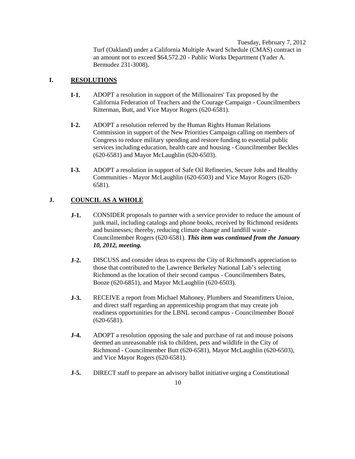Tuesday, February 7, 2012 Turf (Oakland) under a California Multiple Award Schedule (CMAS) contract in an amount not to exceed \$64,572.20 - Public Works Department (Yader A. Bermudez 231-3008).

### **I. RESOLUTIONS**

- **I-1.** ADOPT a resolution in support of the Millionaires' Tax proposed by the California Federation of Teachers and the Courage Campaign - Councilmembers Ritterman, Butt, and Vice Mayor Rogers (620-6581).
- **I-2.** ADOPT a resolution referred by the Human Rights Human Relations Commission in support of the New Priorities Campaign calling on members of Congress to reduce military spending and restore funding to essential public services including education, health care and housing - Councilmember Beckles (620-6581) and Mayor McLaughlin (620-6503).
- **I-3.** ADOPT a resolution in support of Safe Oil Refineries, Secure Jobs and Healthy Communities - Mayor McLaughlin (620-6503) and Vice Mayor Rogers (620- 6581).

### **J. COUNCIL AS A WHOLE**

- **J-1.** CONSIDER proposals to partner with a service provider to reduce the amount of junk mail, including catalogs and phone books, received by Richmond residents and businesses; thereby, reducing climate change and landfill waste - Councilmember Rogers (620-6581). *This item was continued from the January 10, 2012, meeting.*
- **J-2.** DISCUSS and consider ideas to express the City of Richmond's appreciation to those that contributed to the Lawrence Berkeley National Lab's selecting Richmond as the location of their second campus - Councilmembers Bates, Booze (620-6851), and Mayor McLaughlin (620-6503).
- **J-3.** RECEIVE a report from Michael Mahoney, Plumbers and Steamfitters Union, and direct staff regarding an apprenticeship program that may create job readiness opportunities for the LBNL second campus - Councilmember Boozé (620-6581).
- **J-4.** ADOPT a resolution opposing the sale and purchase of rat and mouse poisons deemed an unreasonable risk to children, pets and wildlife in the City of Richmond - Councilmember Butt (620-6581), Mayor McLaughlin (620-6503), and Vice Mayor Rogers (620-6581).
- **J-5.** DIRECT staff to prepare an advisory ballot initiative urging a Constitutional